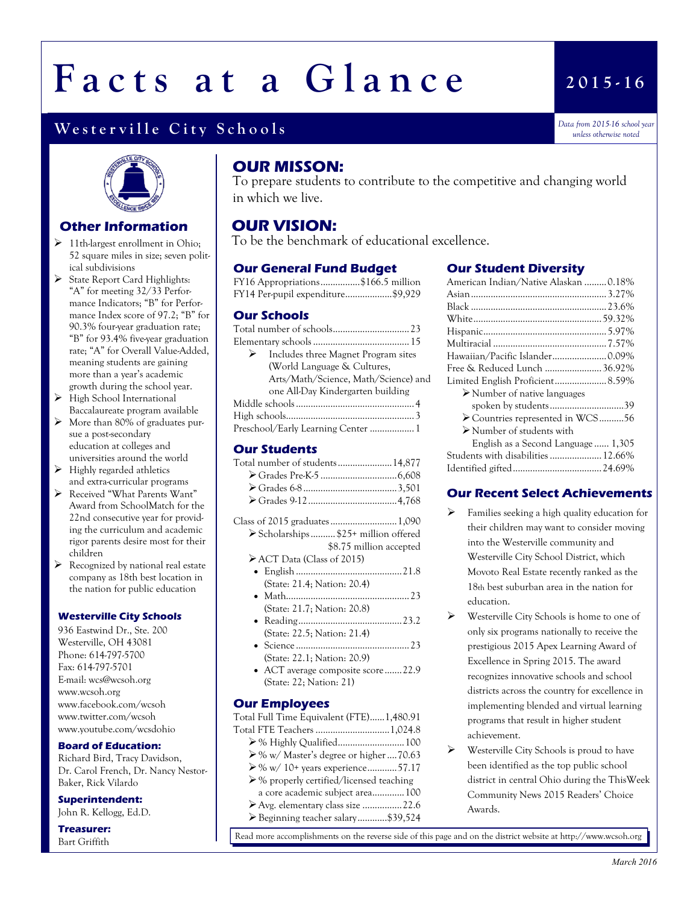# Facts at a Glance

### Westerville City Schools

*Data from 2015-16 school year unless otherwise noted* 

**2 0 1 5 - 1 6**



#### **Other Information**

- $\geq 11$ th-largest enrollment in Ohio; 52 square miles in size; seven political subdivisions
- State Report Card Highlights: "A" for meeting 32/33 Performance Indicators; "B" for Performance Index score of 97.2; "B" for 90.3% four-year graduation rate; "B" for 93.4% five-year graduation rate; "A" for Overall Value-Added, meaning students are gaining more than a year's academic growth during the school year.
- $\triangleright$  High School International Baccalaureate program available
- $\triangleright$  More than 80% of graduates pursue a post-secondary education at colleges and universities around the world
- $\blacktriangleright$  Highly regarded athletics and extra-curricular programs
- Received "What Parents Want" Award from SchoolMatch for the 22nd consecutive year for providing the curriculum and academic rigor parents desire most for their children
- $\triangleright$  Recognized by national real estate company as 18th best location in the nation for public education

#### **Westerville City Schools**

936 Eastwind Dr., Ste. 200 Westerville, OH 43081 Phone: 614-797-5700 Fax: 614-797-5701 E-mail: wcs@wcsoh.org www.wcsoh.org www.facebook.com/wcsoh www.twitter.com/wcsoh www.youtube.com/wcsdohio

#### **Board of Education:**

Richard Bird, Tracy Davidson, Dr. Carol French, Dr. Nancy Nestor-Baker, Rick Vilardo

#### **Superintendent:**

John R. Kellogg, Ed.D.

#### **Treasurer:** Bart Griffith

#### **OUR MISSON:**

To prepare students to contribute to the competitive and changing world in which we live.

#### **OUR VISION:**

To be the benchmark of educational excellence.

#### **Our General Fund Budget**

| FY16 Appropriations\$166.5 million |  |
|------------------------------------|--|
| FY14 Per-pupil expenditure\$9,929  |  |

#### **Our Schools**

| $\triangleright$ Includes three Magnet Program sites |  |
|------------------------------------------------------|--|
| (World Language & Cultures,                          |  |
| Arts/Math/Science, Math/Science) and                 |  |
| one All-Day Kindergarten building                    |  |
|                                                      |  |
|                                                      |  |
| Preschool/Early Learning Center  1                   |  |

#### **Our Students**

| Total number of students14,877 |  |
|--------------------------------|--|
|                                |  |
|                                |  |
|                                |  |

- Class of 2015 graduates...........................1,090 Scholarships.......... \$25+ million offered
	- \$8.75 million accepted
	- ACT Data (Class of 2015) English...........................................21.8
	- (State: 21.4; Nation: 20.4) Math..................................................23
	- (State: 21.7; Nation: 20.8) Reading..........................................23.2
	- (State: 22.5; Nation: 21.4) Science ..............................................23
	- (State: 22.1; Nation: 20.9) ACT average composite score.......22.9 (State: 22; Nation: 21)

#### **Our Employees**

Total Full Time Equivalent (FTE)......1,480.91 Total FTE Teachers ..............................1,024.8

- % Highly Qualified...........................100 % w/ Master's degree or higher....70.63
- % w/ 10+ years experience............57.17
- % properly certified/licensed teaching
- a core academic subject area.............100
- Avg. elementary class size ................22.6
- Beginning teacher salary............\$39,524

#### **Our Student Diversity**

| American Indian/Native Alaskan 0.18%        |  |
|---------------------------------------------|--|
|                                             |  |
|                                             |  |
|                                             |  |
|                                             |  |
|                                             |  |
| Hawaiian/Pacific Islander0.09%              |  |
| Free & Reduced Lunch  36.92%                |  |
| Limited English Proficient 8.59%            |  |
| $\triangleright$ Number of native languages |  |
| spoken by students39                        |  |
| ► Countries represented in WCS56            |  |
| $\triangleright$ Number of students with    |  |
| English as a Second Language 1,305          |  |
| Students with disabilities  12.66%          |  |
|                                             |  |
|                                             |  |

#### **Our Recent Select Achievements**

- $\triangleright$  Families seeking a high quality education for their children may want to consider moving into the Westerville community and Westerville City School District, which Movoto Real Estate recently ranked as the 18th best suburban area in the nation for education.
- Westerville City Schools is home to one of only six programs nationally to receive the prestigious 2015 Apex Learning Award of Excellence in Spring 2015. The award recognizes innovative schools and school districts across the country for excellence in implementing blended and virtual learning programs that result in higher student achievement.
- $\triangleright$  Westerville City Schools is proud to have been identified as the top public school district in central Ohio during the ThisWeek Community News 2015 Readers' Choice Awards.

Read more accomplishments on the reverse side of this page and on the district website at http://www.wcsoh.org